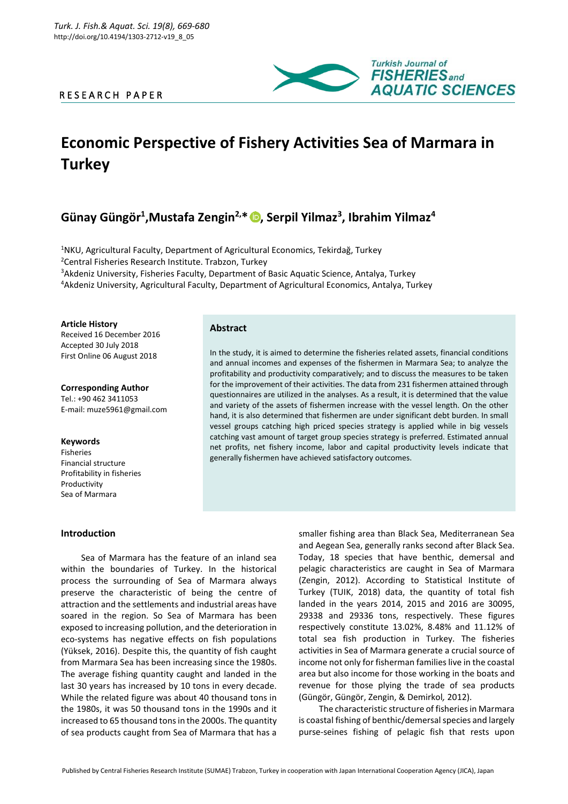# R E S E A R C H P A P E R



# **Economic Perspective of Fishery Activities Sea of Marmara in Turkey**

# **Günay Güngör<sup>1</sup> ,Mustafa Zengin2,\* [,](https://orcid.org/0000-0002-0243-1432) Serpil Yilmaz<sup>3</sup> , Ibrahim Yilmaz<sup>4</sup>**

<sup>1</sup>NKU, Agricultural Faculty, Department of Agricultural Economics, Tekirdağ, Turkey Central Fisheries Research Institute. Trabzon, Turkey Akdeniz University, Fisheries Faculty, Department of Basic Aquatic Science, Antalya, Turkey Akdeniz University, Agricultural Faculty, Department of Agricultural Economics, Antalya, Turkey

**Article History** Received 16 December 2016 Accepted 30 July 2018 First Online 06 August 2018

**Corresponding Author** Tel.: +90 462 3411053 E-mail: muze5961@gmail.com

#### **Keywords**

Fisheries Financial structure Profitability in fisheries Productivity Sea of Marmara

**Introduction**

# **Abstract**

In the study, it is aimed to determine the fisheries related assets, financial conditions and annual incomes and expenses of the fishermen in Marmara Sea; to analyze the profitability and productivity comparatively; and to discuss the measures to be taken for the improvement of their activities. The data from 231 fishermen attained through questionnaires are utilized in the analyses. As a result, it is determined that the value and variety of the assets of fishermen increase with the vessel length. On the other hand, it is also determined that fishermen are under significant debt burden. In small vessel groups catching high priced species strategy is applied while in big vessels catching vast amount of target group species strategy is preferred. Estimated annual net profits, net fishery income, labor and capital productivity levels indicate that generally fishermen have achieved satisfactory outcomes.

Sea of Marmara has the feature of an inland sea within the boundaries of Turkey. In the historical process the surrounding of Sea of Marmara always preserve the characteristic of being the centre of attraction and the settlements and industrial areas have soared in the region. So Sea of Marmara has been exposed to increasing pollution, and the deterioration in eco-systems has negative effects on fish populations (Yüksek, 2016). Despite this, the quantity of fish caught from Marmara Sea has been increasing since the 1980s. The average fishing quantity caught and landed in the last 30 years has increased by 10 tons in every decade. While the related figure was about 40 thousand tons in the 1980s, it was 50 thousand tons in the 1990s and it increased to 65 thousand tons in the 2000s. The quantity of sea products caught from Sea of Marmara that has a

smaller fishing area than Black Sea, Mediterranean Sea and Aegean Sea, generally ranks second after Black Sea. Today, 18 species that have benthic, demersal and pelagic characteristics are caught in Sea of Marmara (Zengin, 2012). According to Statistical Institute of Turkey (TUIK, 2018) data, the quantity of total fish landed in the years 2014, 2015 and 2016 are 30095, 29338 and 29336 tons, respectively. These figures respectively constitute 13.02%, 8.48% and 11.12% of total sea fish production in Turkey. The fisheries activities in Sea of Marmara generate a crucial source of income not only for fisherman families live in the coastal area but also income for those working in the boats and revenue for those plying the trade of sea products (Güngör, Güngör, Zengin, & Demirkol*,* 2012).

The characteristic structure of fisheries in Marmara is coastal fishing of benthic/demersal species and largely purse-seines fishing of pelagic fish that rests upon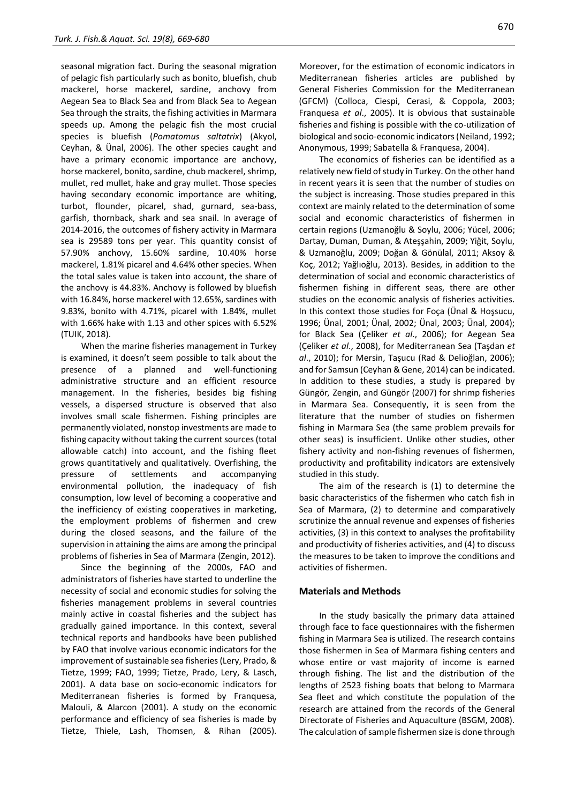seasonal migration fact. During the seasonal migration of pelagic fish particularly such as bonito, bluefish, chub mackerel, horse mackerel, sardine, anchovy from Aegean Sea to Black Sea and from Black Sea to Aegean Sea through the straits, the fishing activities in Marmara speeds up. Among the pelagic fish the most crucial species is bluefish (*Pomatomus saltatrix*) (Akyol, Ceyhan, & Ünal, 2006). The other species caught and have a primary economic importance are anchovy, horse mackerel, bonito, sardine, chub mackerel, shrimp, mullet, red mullet, hake and gray mullet. Those species having secondary economic importance are whiting, turbot, flounder, picarel, shad, gurnard, sea-bass, garfish, thornback, shark and sea snail. In average of 2014-2016, the outcomes of fishery activity in Marmara sea is 29589 tons per year. This quantity consist of 57.90% anchovy, 15.60% sardine, 10.40% horse mackerel, 1.81% picarel and 4.64% other species. When the total sales value is taken into account, the share of the anchovy is 44.83%. Anchovy is followed by bluefish with 16.84%, horse mackerel with 12.65%, sardines with 9.83%, bonito with 4.71%, picarel with 1.84%, mullet with 1.66% hake with 1.13 and other spices with 6.52% (TUIK, 2018).

When the marine fisheries management in Turkey is examined, it doesn't seem possible to talk about the presence of a planned and well-functioning administrative structure and an efficient resource management. In the fisheries, besides big fishing vessels, a dispersed structure is observed that also involves small scale fishermen. Fishing principles are permanently violated, nonstop investments are made to fishing capacity without taking the current sources (total allowable catch) into account, and the fishing fleet grows quantitatively and qualitatively. Overfishing, the pressure of settlements and accompanying environmental pollution, the inadequacy of fish consumption, low level of becoming a cooperative and the inefficiency of existing cooperatives in marketing, the employment problems of fishermen and crew during the closed seasons, and the failure of the supervision in attaining the aims are among the principal problems of fisheries in Sea of Marmara (Zengin, 2012).

Since the beginning of the 2000s, FAO and administrators of fisheries have started to underline the necessity of social and economic studies for solving the fisheries management problems in several countries mainly active in coastal fisheries and the subject has gradually gained importance. In this context, several technical reports and handbooks have been published by FAO that involve various economic indicators for the improvement of sustainable sea fisheries (Lery, Prado, & Tietze, 1999; FAO, 1999; Tietze, Prado, Lery, & Lasch, 2001). A data base on socio-economic indicators for Mediterranean fisheries is formed by Franquesa, Malouli, & Alarcon (2001). A study on the economic performance and efficiency of sea fisheries is made by Tietze, Thiele, Lash, Thomsen, & Rihan (2005). Moreover, for the estimation of economic indicators in Mediterranean fisheries articles are published by General Fisheries Commission for the Mediterranean (GFCM) (Colloca, Ciespi, Cerasi, & Coppola, 2003; Franquesa *et al*., 2005). It is obvious that sustainable fisheries and fishing is possible with the co-utilization of biological and socio-economic indicators (Neiland, 1992; Anonymous, 1999; Sabatella & Franquesa, 2004).

The economics of fisheries can be identified as a relatively new field of study in Turkey. On the other hand in recent years it is seen that the number of studies on the subject is increasing. Those studies prepared in this context are mainly related to the determination of some social and economic characteristics of fishermen in certain regions (Uzmanoğlu & Soylu, 2006; Yücel, 2006; Dartay, Duman, Duman, & Ateşşahin, 2009; Yiğit, Soylu, & Uzmanoğlu, 2009; Doğan & Gönülal, 2011; Aksoy & Koç, 2012; Yağlıoğlu, 2013). Besides, in addition to the determination of social and economic characteristics of fishermen fishing in different seas, there are other studies on the economic analysis of fisheries activities. In this context those studies for Foça (Ünal & Hoşsucu, 1996; Ünal, 2001; Ünal, 2002; Ünal, 2003; Ünal, 2004); for Black Sea (Çeliker *et al*., 2006); for Aegean Sea (Çeliker *et al*., 2008), for Mediterranean Sea (Taşdan *et al*., 2010); for Mersin, Taşucu (Rad & Delioğlan, 2006); and for Samsun (Ceyhan & Gene, 2014) can be indicated. In addition to these studies, a study is prepared by Güngör*,* Zengin, and Güngör (2007) for shrimp fisheries in Marmara Sea. Consequently, it is seen from the literature that the number of studies on fishermen fishing in Marmara Sea (the same problem prevails for other seas) is insufficient. Unlike other studies, other fishery activity and non-fishing revenues of fishermen, productivity and profitability indicators are extensively studied in this study.

The aim of the research is (1) to determine the basic characteristics of the fishermen who catch fish in Sea of Marmara, (2) to determine and comparatively scrutinize the annual revenue and expenses of fisheries activities, (3) in this context to analyses the profitability and productivity of fisheries activities, and (4) to discuss the measures to be taken to improve the conditions and activities of fishermen.

#### **Materials and Methods**

In the study basically the primary data attained through face to face questionnaires with the fishermen fishing in Marmara Sea is utilized. The research contains those fishermen in Sea of Marmara fishing centers and whose entire or vast majority of income is earned through fishing. The list and the distribution of the lengths of 2523 fishing boats that belong to Marmara Sea fleet and which constitute the population of the research are attained from the records of the General Directorate of Fisheries and Aquaculture (BSGM, 2008). The calculation of sample fishermen size is done through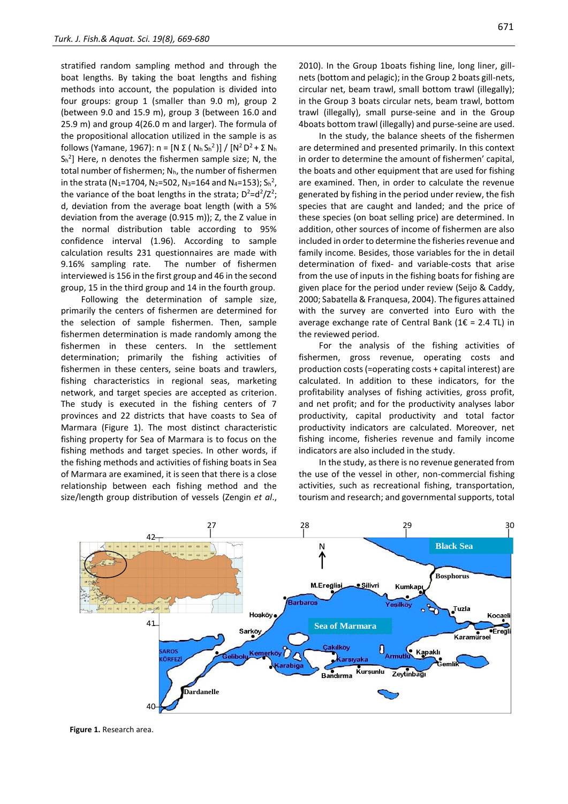stratified random sampling method and through the boat lengths. By taking the boat lengths and fishing methods into account, the population is divided into four groups: group 1 (smaller than 9.0 m), group 2 (between 9.0 and 15.9 m), group 3 (between 16.0 and 25.9 m) and group 4(26.0 m and larger). The formula of the propositional allocation utilized in the sample is as follows (Yamane, 1967): n = [N Σ (  $N_h S_h^2$ )] / [N<sup>2</sup> D<sup>2</sup> + Σ  $N_h$  $S_{h}^{2}$ ] Here, n denotes the fishermen sample size; N, the total number of fishermen;  $N_h$ , the number of fishermen in the strata (N<sub>1</sub>=1704, N<sub>2</sub>=502, N<sub>3</sub>=164 and N<sub>4</sub>=153); S<sub>h</sub><sup>2</sup>, the variance of the boat lengths in the strata;  $D^2 = d^2/Z^2$ ; d, deviation from the average boat length (with a 5% deviation from the average (0.915 m)); Z, the Z value in the normal distribution table according to 95% confidence interval (1.96). According to sample calculation results 231 questionnaires are made with 9.16% sampling rate. The number of fishermen interviewed is 156 in the first group and 46 in the second group, 15 in the third group and 14 in the fourth group.

Following the determination of sample size, primarily the centers of fishermen are determined for the selection of sample fishermen. Then, sample fishermen determination is made randomly among the fishermen in these centers. In the settlement determination; primarily the fishing activities of fishermen in these centers, seine boats and trawlers, fishing characteristics in regional seas, marketing network, and target species are accepted as criterion. The study is executed in the fishing centers of 7 provinces and 22 districts that have coasts to Sea of Marmara (Figure 1). The most distinct characteristic fishing property for Sea of Marmara is to focus on the fishing methods and target species. In other words, if the fishing methods and activities of fishing boats in Sea of Marmara are examined, it is seen that there is a close relationship between each fishing method and the size/length group distribution of vessels (Zengin *et al*.,

2010). In the Group 1boats fishing line, long liner, gillnets (bottom and pelagic); in the Group 2 boats gill-nets, circular net, beam trawl, small bottom trawl (illegally); in the Group 3 boats circular nets, beam trawl, bottom trawl (illegally), small purse-seine and in the Group 4boats bottom trawl (illegally) and purse-seine are used.

In the study, the balance sheets of the fishermen are determined and presented primarily. In this context in order to determine the amount of fishermen' capital, the boats and other equipment that are used for fishing are examined. Then, in order to calculate the revenue generated by fishing in the period under review, the fish species that are caught and landed; and the price of these species (on boat selling price) are determined. In addition, other sources of income of fishermen are also included in order to determine the fisheries revenue and family income. Besides, those variables for the in detail determination of fixed- and variable-costs that arise from the use of inputs in the fishing boats for fishing are given place for the period under review (Seijo & Caddy, 2000; Sabatella & Franquesa, 2004). The figures attained with the survey are converted into Euro with the average exchange rate of Central Bank (1 $\epsilon$  = 2.4 TL) in the reviewed period.

For the analysis of the fishing activities of fishermen, gross revenue, operating costs and production costs (=operating costs + capital interest) are calculated. In addition to these indicators, for the profitability analyses of fishing activities, gross profit, and net profit; and for the productivity analyses labor productivity, capital productivity and total factor productivity indicators are calculated. Moreover, net fishing income, fisheries revenue and family income indicators are also included in the study.

In the study, as there is no revenue generated from the use of the vessel in other, non-commercial fishing activities, such as recreational fishing, transportation, tourism and research; and governmental supports, total

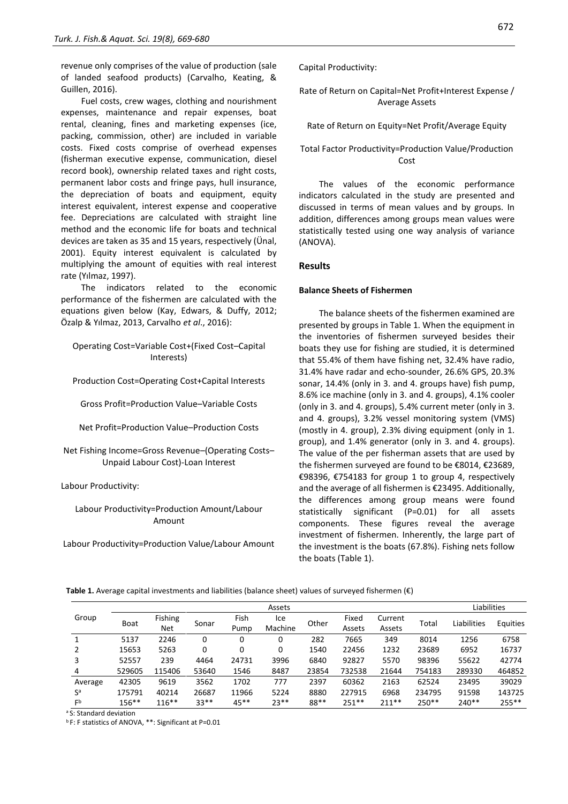revenue only comprises of the value of production (sale of landed seafood products) (Carvalho, Keating, & Guillen, 2016).

Fuel costs, crew wages, clothing and nourishment expenses, maintenance and repair expenses, boat rental, cleaning, fines and marketing expenses (ice, packing, commission, other) are included in variable costs. Fixed costs comprise of overhead expenses (fisherman executive expense, communication, diesel record book), ownership related taxes and right costs, permanent labor costs and fringe pays, hull insurance, the depreciation of boats and equipment, equity interest equivalent, interest expense and cooperative fee. Depreciations are calculated with straight line method and the economic life for boats and technical devices are taken as 35 and 15 years, respectively (Ünal, 2001). Equity interest equivalent is calculated by multiplying the amount of equities with real interest rate (Yılmaz, 1997).

The indicators related to the economic performance of the fishermen are calculated with the equations given below (Kay, Edwars, & Duffy, 2012; Özalp & Yılmaz, 2013, Carvalho *et al*., 2016):

Operating Cost=Variable Cost+(Fixed Cost–Capital Interests)

Production Cost=Operating Cost+Capital Interests

Gross Profit=Production Value–Variable Costs

Net Profit=Production Value–Production Costs

Net Fishing Income=Gross Revenue–(Operating Costs– Unpaid Labour Cost)-Loan Interest

Labour Productivity:

### Labour Productivity=Production Amount/Labour Amount

Labour Productivity=Production Value/Labour Amount

Capital Productivity:

#### Rate of Return on Capital=Net Profit+Interest Expense / Average Assets

Rate of Return on Equity=Net Profit/Average Equity

Total Factor Productivity=Production Value/Production Cost

The values of the economic performance indicators calculated in the study are presented and discussed in terms of mean values and by groups. In addition, differences among groups mean values were statistically tested using one way analysis of variance (ANOVA).

#### **Results**

#### **Balance Sheets of Fishermen**

The balance sheets of the fishermen examined are presented by groups in Table 1. When the equipment in the inventories of fishermen surveyed besides their boats they use for fishing are studied, it is determined that 55.4% of them have fishing net, 32.4% have radio, 31.4% have radar and echo-sounder, 26.6% GPS, 20.3% sonar, 14.4% (only in 3. and 4. groups have) fish pump, 8.6% ice machine (only in 3. and 4. groups), 4.1% cooler (only in 3. and 4. groups), 5.4% current meter (only in 3. and 4. groups), 3.2% vessel monitoring system (VMS) (mostly in 4. group), 2.3% diving equipment (only in 1. group), and 1.4% generator (only in 3. and 4. groups). The value of the per fisherman assets that are used by the fishermen surveyed are found to be €8014, €23689, €98396, €754183 for group 1 to group 4, respectively and the average of all fishermen is €23495. Additionally, the differences among group means were found statistically significant (P=0.01) for all assets components. These figures reveal the average investment of fishermen. Inherently, the large part of the investment is the boats (67.8%). Fishing nets follow the boats (Table 1).

**Table 1.** Average capital investments and liabilities (balance sheet) values of surveyed fishermen (€)

|                | Assets      |            |        |        |         |       |         |         |         | Liabilities |          |
|----------------|-------------|------------|--------|--------|---------|-------|---------|---------|---------|-------------|----------|
| Group          | <b>Boat</b> | Fishing    | Sonar  | Fish   | Ice     | Other | Fixed   | Current | Total   | Liabilities | Equities |
|                |             | <b>Net</b> |        | Pump   | Machine |       | Assets  | Assets  |         |             |          |
| 1              | 5137        | 2246       | 0      | 0      | 0       | 282   | 7665    | 349     | 8014    | 1256        | 6758     |
|                | 15653       | 5263       | 0      | 0      | 0       | 1540  | 22456   | 1232    | 23689   | 6952        | 16737    |
| 3              | 52557       | 239        | 4464   | 24731  | 3996    | 6840  | 92827   | 5570    | 98396   | 55622       | 42774    |
| 4              | 529605      | 115406     | 53640  | 1546   | 8487    | 23854 | 732538  | 21644   | 754183  | 289330      | 464852   |
| Average        | 42305       | 9619       | 3562   | 1702   | 777     | 2397  | 60362   | 2163    | 62524   | 23495       | 39029    |
| Sa             | 175791      | 40214      | 26687  | 11966  | 5224    | 8880  | 227915  | 6968    | 234795  | 91598       | 143725   |
| F <sub>p</sub> | 156**       | $116***$   | $33**$ | $45**$ | $23**$  | 88**  | $251**$ | $211**$ | $250**$ | $240**$     | 255**    |

<sup>a</sup> S: Standard deviation

b F: F statistics of ANOVA, \*\*: Significant at P=0.01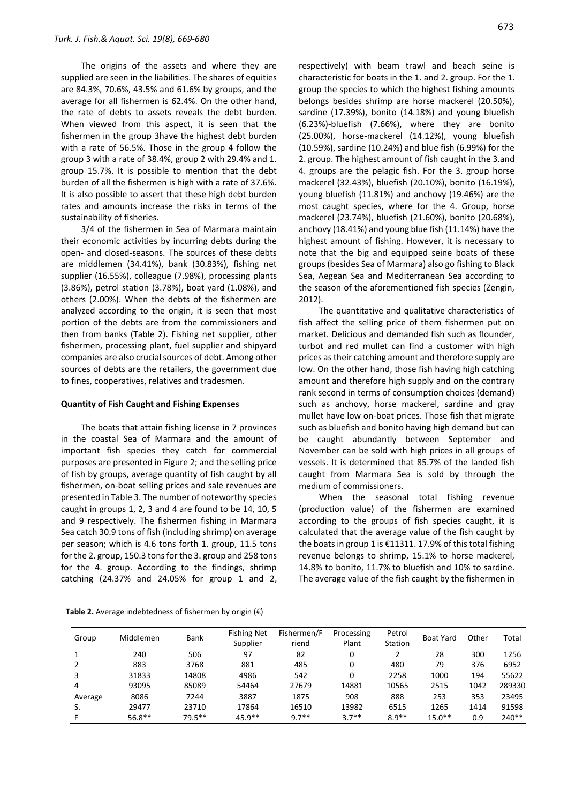The origins of the assets and where they are supplied are seen in the liabilities. The shares of equities are 84.3%, 70.6%, 43.5% and 61.6% by groups, and the average for all fishermen is 62.4%. On the other hand, the rate of debts to assets reveals the debt burden. When viewed from this aspect, it is seen that the fishermen in the group 3have the highest debt burden with a rate of 56.5%. Those in the group 4 follow the group 3 with a rate of 38.4%, group 2 with 29.4% and 1. group 15.7%. It is possible to mention that the debt burden of all the fishermen is high with a rate of 37.6%. It is also possible to assert that these high debt burden rates and amounts increase the risks in terms of the sustainability of fisheries.

3/4 of the fishermen in Sea of Marmara maintain their economic activities by incurring debts during the open- and closed-seasons. The sources of these debts are middlemen (34.41%), bank (30.83%), fishing net supplier (16.55%), colleague (7.98%), processing plants (3.86%), petrol station (3.78%), boat yard (1.08%), and others (2.00%). When the debts of the fishermen are analyzed according to the origin, it is seen that most portion of the debts are from the commissioners and then from banks (Table 2). Fishing net supplier, other fishermen, processing plant, fuel supplier and shipyard companies are also crucial sources of debt. Among other sources of debts are the retailers, the government due to fines, cooperatives, relatives and tradesmen.

#### **Quantity of Fish Caught and Fishing Expenses**

The boats that attain fishing license in 7 provinces in the coastal Sea of Marmara and the amount of important fish species they catch for commercial purposes are presented in Figure 2; and the selling price of fish by groups, average quantity of fish caught by all fishermen, on-boat selling prices and sale revenues are presented in Table 3. The number of noteworthy species caught in groups 1, 2, 3 and 4 are found to be 14, 10, 5 and 9 respectively. The fishermen fishing in Marmara Sea catch 30.9 tons of fish (including shrimp) on average per season; which is 4.6 tons forth 1. group, 11.5 tons for the 2. group, 150.3 tons for the 3. group and 258 tons for the 4. group. According to the findings, shrimp catching (24.37% and 24.05% for group 1 and 2,

respectively) with beam trawl and beach seine is characteristic for boats in the 1. and 2. group. For the 1. group the species to which the highest fishing amounts belongs besides shrimp are horse mackerel (20.50%), sardine (17.39%), bonito (14.18%) and young bluefish (6.23%)-bluefish (7.66%), where they are bonito (25.00%), horse-mackerel (14.12%), young bluefish (10.59%), sardine (10.24%) and blue fish (6.99%) for the 2. group. The highest amount of fish caught in the 3.and 4. groups are the pelagic fish. For the 3. group horse mackerel (32.43%), bluefish (20.10%), bonito (16.19%), young bluefish (11.81%) and anchovy (19.46%) are the most caught species, where for the 4. Group, horse mackerel (23.74%), bluefish (21.60%), bonito (20.68%), anchovy (18.41%) and young blue fish (11.14%) have the highest amount of fishing. However, it is necessary to note that the big and equipped seine boats of these groups (besides Sea of Marmara) also go fishing to Black Sea, Aegean Sea and Mediterranean Sea according to the season of the aforementioned fish species (Zengin, 2012).

The quantitative and qualitative characteristics of fish affect the selling price of them fishermen put on market. Delicious and demanded fish such as flounder, turbot and red mullet can find a customer with high prices as their catching amount and therefore supply are low. On the other hand, those fish having high catching amount and therefore high supply and on the contrary rank second in terms of consumption choices (demand) such as anchovy, horse mackerel, sardine and gray mullet have low on-boat prices. Those fish that migrate such as bluefish and bonito having high demand but can be caught abundantly between September and November can be sold with high prices in all groups of vessels. It is determined that 85.7% of the landed fish caught from Marmara Sea is sold by through the medium of commissioners.

When the seasonal total fishing revenue (production value) of the fishermen are examined according to the groups of fish species caught, it is calculated that the average value of the fish caught by the boats in group 1 is €11311. 17.9% of this total fishing revenue belongs to shrimp, 15.1% to horse mackerel, 14.8% to bonito, 11.7% to bluefish and 10% to sardine. The average value of the fish caught by the fishermen in

| Group   | Middlemen | Bank      | <b>Fishing Net</b><br>Supplier | Fishermen/F<br>riend | Processing<br>Plant | Petrol<br>Station | <b>Boat Yard</b> | Other | Total  |
|---------|-----------|-----------|--------------------------------|----------------------|---------------------|-------------------|------------------|-------|--------|
|         | 240       | 506       | 97                             | 82                   | 0                   |                   | 28               | 300   | 1256   |
|         | 883       | 3768      | 881                            | 485                  | 0                   | 480               | 79               | 376   | 6952   |
| 3       | 31833     | 14808     | 4986                           | 542                  | 0                   | 2258              | 1000             | 194   | 55622  |
| 4       | 93095     | 85089     | 54464                          | 27679                | 14881               | 10565             | 2515             | 1042  | 289330 |
| Average | 8086      | 7244      | 3887                           | 1875                 | 908                 | 888               | 253              | 353   | 23495  |
| S.      | 29477     | 23710     | 17864                          | 16510                | 13982               | 6515              | 1265             | 1414  | 91598  |
|         | $56.8***$ | $79.5***$ | $45.9**$                       | $9.7**$              | $3.7**$             | $8.9**$           | $15.0**$         | 0.9   | 240**  |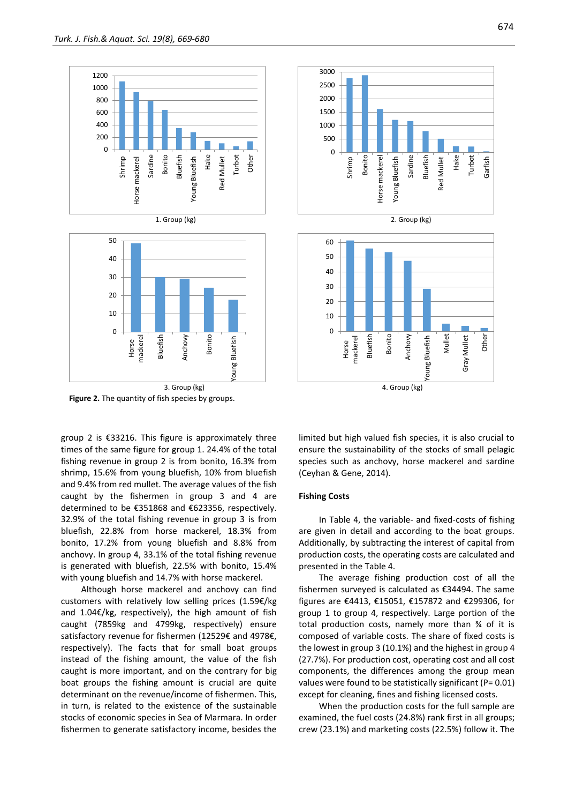

**Figure 2.** The quantity of fish species by groups.

group 2 is €33216. This figure is approximately three times of the same figure for group 1. 24.4% of the total fishing revenue in group 2 is from bonito, 16.3% from shrimp, 15.6% from young bluefish, 10% from bluefish and 9.4% from red mullet. The average values of the fish caught by the fishermen in group 3 and 4 are determined to be €351868 and €623356, respectively. 32.9% of the total fishing revenue in group 3 is from bluefish, 22.8% from horse mackerel, 18.3% from bonito, 17.2% from young bluefish and 8.8% from anchovy. In group 4, 33.1% of the total fishing revenue is generated with bluefish, 22.5% with bonito, 15.4% with young bluefish and 14.7% with horse mackerel.

Although horse mackerel and anchovy can find customers with relatively low selling prices (1.59€/kg and 1.04€/kg, respectively), the high amount of fish caught (7859kg and 4799kg, respectively) ensure satisfactory revenue for fishermen (12529€ and 4978€, respectively). The facts that for small boat groups instead of the fishing amount, the value of the fish caught is more important, and on the contrary for big boat groups the fishing amount is crucial are quite determinant on the revenue/income of fishermen. This, in turn, is related to the existence of the sustainable stocks of economic species in Sea of Marmara. In order fishermen to generate satisfactory income, besides the



limited but high valued fish species, it is also crucial to ensure the sustainability of the stocks of small pelagic species such as anchovy, horse mackerel and sardine (Ceyhan & Gene, 2014).

#### **Fishing Costs**

In Table 4, the variable- and fixed-costs of fishing are given in detail and according to the boat groups. Additionally, by subtracting the interest of capital from production costs, the operating costs are calculated and presented in the Table 4.

The average fishing production cost of all the fishermen surveyed is calculated as €34494. The same figures are €4413, €15051, €157872 and €299306, for group 1 to group 4, respectively. Large portion of the total production costs, namely more than ¾ of it is composed of variable costs. The share of fixed costs is the lowest in group 3 (10.1%) and the highest in group 4 (27.7%). For production cost, operating cost and all cost components, the differences among the group mean values were found to be statistically significant (P= 0.01) except for cleaning, fines and fishing licensed costs.

When the production costs for the full sample are examined, the fuel costs (24.8%) rank first in all groups; crew (23.1%) and marketing costs (22.5%) follow it. The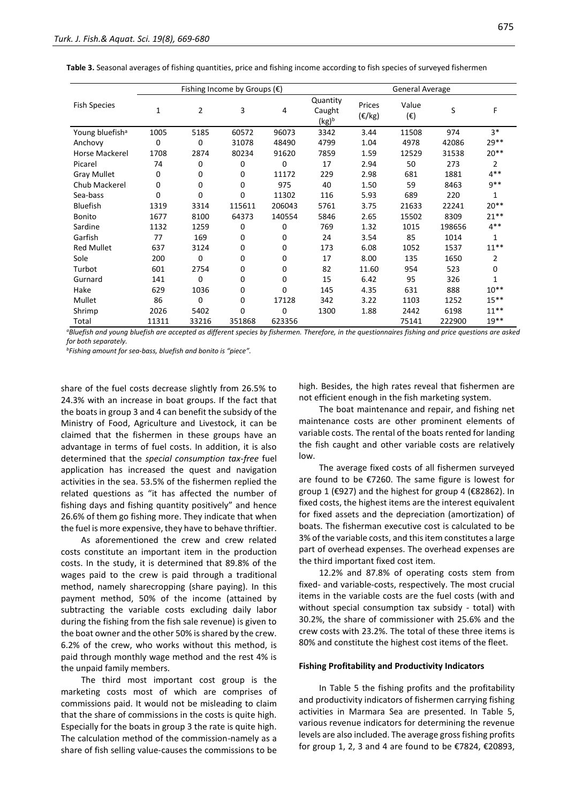|                             |          |                | Fishing Income by Groups $(\epsilon)$ |             | General Average             |                            |                       |        |              |
|-----------------------------|----------|----------------|---------------------------------------|-------------|-----------------------------|----------------------------|-----------------------|--------|--------------|
| <b>Fish Species</b>         | 1        | $\overline{2}$ | 3                                     | 4           | Quantity<br>Caught<br>(kg)b | Prices<br>$(\epsilon$ /kg) | Value<br>$(\epsilon)$ | S      | F            |
| Young bluefish <sup>a</sup> | 1005     | 5185           | 60572                                 | 96073       | 3342                        | 3.44                       | 11508                 | 974    | $3*$         |
| Anchovy                     | 0        | $\Omega$       | 31078                                 | 48490       | 4799                        | 1.04                       | 4978                  | 42086  | 29**         |
| Horse Mackerel              | 1708     | 2874           | 80234                                 | 91620       | 7859                        | 1.59                       | 12529                 | 31538  | $20**$       |
| Picarel                     | 74       | 0              | 0                                     | $\Omega$    | 17                          | 2.94                       | 50                    | 273    | 2            |
| <b>Gray Mullet</b>          | 0        | 0              | 0                                     | 11172       | 229                         | 2.98                       | 681                   | 1881   | $4***$       |
| Chub Mackerel               | 0        | 0              | 0                                     | 975         | 40                          | 1.50                       | 59                    | 8463   | $9**$        |
| Sea-bass                    | $\Omega$ | $\Omega$       | $\Omega$                              | 11302       | 116                         | 5.93                       | 689                   | 220    | 1            |
| Bluefish                    | 1319     | 3314           | 115611                                | 206043      | 5761                        | 3.75                       | 21633                 | 22241  | $20**$       |
| Bonito                      | 1677     | 8100           | 64373                                 | 140554      | 5846                        | 2.65                       | 15502                 | 8309   | $21***$      |
| Sardine                     | 1132     | 1259           | 0                                     | 0           | 769                         | 1.32                       | 1015                  | 198656 | $4***$       |
| Garfish                     | 77       | 169            | 0                                     | 0           | 24                          | 3.54                       | 85                    | 1014   |              |
| <b>Red Mullet</b>           | 637      | 3124           | 0                                     | 0           | 173                         | 6.08                       | 1052                  | 1537   | $11***$      |
| Sole                        | 200      | $\Omega$       | 0                                     | 0           | 17                          | 8.00                       | 135                   | 1650   | 2            |
| Turbot                      | 601      | 2754           | 0                                     | $\mathbf 0$ | 82                          | 11.60                      | 954                   | 523    | $\Omega$     |
| Gurnard                     | 141      | $\Omega$       | 0                                     | $\mathbf 0$ | 15                          | 6.42                       | 95                    | 326    | $\mathbf{1}$ |
| Hake                        | 629      | 1036           | 0                                     | $\Omega$    | 145                         | 4.35                       | 631                   | 888    | $10**$       |
| Mullet                      | 86       | 0              | 0                                     | 17128       | 342                         | 3.22                       | 1103                  | 1252   | $15***$      |
| Shrimp                      | 2026     | 5402           | $\Omega$                              | $\Omega$    | 1300                        | 1.88                       | 2442                  | 6198   | $11***$      |
| Total                       | 11311    | 33216          | 351868                                | 623356      |                             |                            | 75141                 | 222900 | $19**$       |

**Table 3.** Seasonal averages of fishing quantities, price and fishing income according to fish species of surveyed fishermen

*<sup>a</sup>Bluefish and young bluefish are accepted as different species by fishermen. Therefore, in the questionnaires fishing and price questions are asked for both separately.*

*<sup>b</sup>Fishing amount for sea-bass, bluefish and bonito is "piece".*

share of the fuel costs decrease slightly from 26.5% to 24.3% with an increase in boat groups. If the fact that the boats in group 3 and 4 can benefit the subsidy of the Ministry of Food, Agriculture and Livestock, it can be claimed that the fishermen in these groups have an advantage in terms of fuel costs. In addition, it is also determined that the *special consumption tax-free* fuel application has increased the quest and navigation activities in the sea. 53.5% of the fishermen replied the related questions as "it has affected the number of fishing days and fishing quantity positively" and hence 26.6% of them go fishing more. They indicate that when the fuel is more expensive, they have to behave thriftier.

As aforementioned the crew and crew related costs constitute an important item in the production costs. In the study, it is determined that 89.8% of the wages paid to the crew is paid through a traditional method, namely sharecropping (share paying). In this payment method, 50% of the income (attained by subtracting the variable costs excluding daily labor during the fishing from the fish sale revenue) is given to the boat owner and the other 50% is shared by the crew. 6.2% of the crew, who works without this method, is paid through monthly wage method and the rest 4% is the unpaid family members.

The third most important cost group is the marketing costs most of which are comprises of commissions paid. It would not be misleading to claim that the share of commissions in the costs is quite high. Especially for the boats in group 3 the rate is quite high. The calculation method of the commission-namely as a share of fish selling value-causes the commissions to be high. Besides, the high rates reveal that fishermen are not efficient enough in the fish marketing system.

The boat maintenance and repair, and fishing net maintenance costs are other prominent elements of variable costs. The rental of the boats rented for landing the fish caught and other variable costs are relatively low.

The average fixed costs of all fishermen surveyed are found to be €7260. The same figure is lowest for group 1 (€927) and the highest for group 4 (€82862). In fixed costs, the highest items are the interest equivalent for fixed assets and the depreciation (amortization) of boats. The fisherman executive cost is calculated to be 3% of the variable costs, and this item constitutes a large part of overhead expenses. The overhead expenses are the third important fixed cost item.

12.2% and 87.8% of operating costs stem from fixed- and variable-costs, respectively. The most crucial items in the variable costs are the fuel costs (with and without special consumption tax subsidy - total) with 30.2%, the share of commissioner with 25.6% and the crew costs with 23.2%. The total of these three items is 80% and constitute the highest cost items of the fleet.

#### **Fishing Profitability and Productivity Indicators**

In Table 5 the fishing profits and the profitability and productivity indicators of fishermen carrying fishing activities in Marmara Sea are presented. In Table 5, various revenue indicators for determining the revenue levels are also included. The average gross fishing profits for group 1, 2, 3 and 4 are found to be €7824, €20893,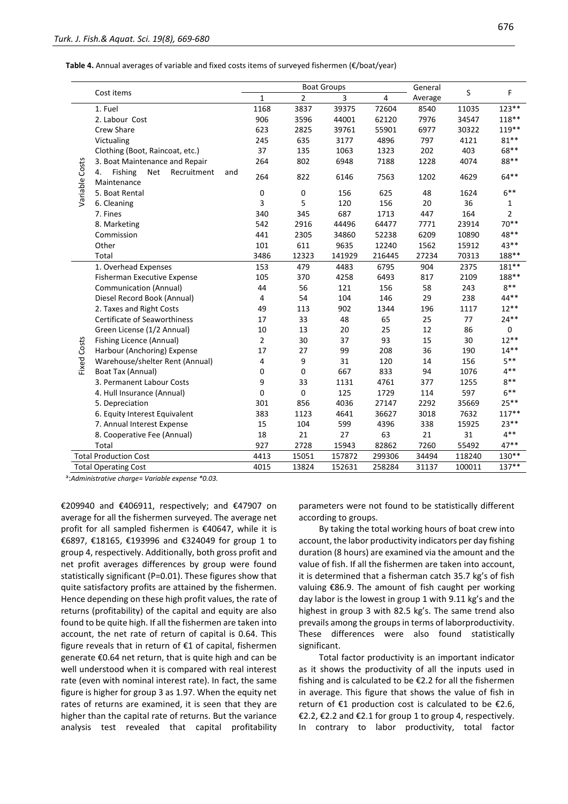**Table 4.** Annual averages of variable and fixed costs items of surveyed fishermen (€/boat/year)

|                |                                                                  |                |                | <b>Boat Groups</b> |                         | General |        | F              |
|----------------|------------------------------------------------------------------|----------------|----------------|--------------------|-------------------------|---------|--------|----------------|
|                | Cost items                                                       | $\mathbf{1}$   | $\overline{2}$ | 3                  | $\overline{\mathbf{4}}$ | Average | S      |                |
|                | 1. Fuel                                                          | 1168           | 3837           | 39375              | 72604                   | 8540    | 11035  | 123**          |
|                | 2. Labour Cost                                                   | 906            | 3596           | 44001              | 62120                   | 7976    | 34547  | 118**          |
|                | Crew Share                                                       | 623            | 2825           | 39761              | 55901                   | 6977    | 30322  | 119**          |
|                | Victualing                                                       | 245            | 635            | 3177               | 4896                    | 797     | 4121   | $81***$        |
|                | Clothing (Boot, Raincoat, etc.)                                  | 37             | 135            | 1063               | 1323                    | 202     | 403    | 68**           |
|                | 3. Boat Maintenance and Repair                                   | 264            | 802            | 6948               | 7188                    | 1228    | 4074   | 88**           |
| Variable Costs | Fishing<br><b>Net</b><br>Recruitment<br>4.<br>and<br>Maintenance | 264            | 822            | 6146               | 7563                    | 1202    | 4629   | $64***$        |
|                | 5. Boat Rental                                                   | 0              | 0              | 156                | 625                     | 48      | 1624   | $6***$         |
|                | 6. Cleaning                                                      | 3              | 5              | 120                | 156                     | 20      | 36     | 1              |
|                | 7. Fines                                                         | 340            | 345            | 687                | 1713                    | 447     | 164    | $\overline{2}$ |
|                | 8. Marketing                                                     | 542            | 2916           | 44496              | 64477                   | 7771    | 23914  | $70**$         |
|                | Commission                                                       | 441            | 2305           | 34860              | 52238                   | 6209    | 10890  | 48**           |
|                | Other                                                            | 101            | 611            | 9635               | 12240                   | 1562    | 15912  | 43**           |
|                | Total                                                            | 3486           | 12323          | 141929             | 216445                  | 27234   | 70313  | 188**          |
|                | 1. Overhead Expenses                                             | 153            | 479            | 4483               | 6795                    | 904     | 2375   | 181**          |
|                | Fisherman Executive Expense                                      | 105            | 370            | 4258               | 6493                    | 817     | 2109   | 188**          |
|                | Communication (Annual)                                           | 44             | 56             | 121                | 156                     | 58      | 243    | $8***$         |
|                | Diesel Record Book (Annual)                                      | 4              | 54             | 104                | 146                     | 29      | 238    | 44**           |
|                | 2. Taxes and Right Costs                                         | 49             | 113            | 902                | 1344                    | 196     | 1117   | $12***$        |
|                | <b>Certificate of Seaworthiness</b>                              | 17             | 33             | 48                 | 65                      | 25      | 77     | $24**$         |
|                | Green License (1/2 Annual)                                       | 10             | 13             | 20                 | 25                      | 12      | 86     | 0              |
|                | Fishing Licence (Annual)                                         | $\overline{2}$ | 30             | 37                 | 93                      | 15      | 30     | $12**$         |
| Fixed Costs    | Harbour (Anchoring) Expense                                      | 17             | 27             | 99                 | 208                     | 36      | 190    | $14**$         |
|                | Warehouse/shelter Rent (Annual)                                  | 4              | 9              | 31                 | 120                     | 14      | 156    | $5***$         |
|                | Boat Tax (Annual)                                                | 0              | 0              | 667                | 833                     | 94      | 1076   | $4***$         |
|                | 3. Permanent Labour Costs                                        | 9              | 33             | 1131               | 4761                    | 377     | 1255   | $8***$         |
|                | 4. Hull Insurance (Annual)                                       | 0              | $\mathbf 0$    | 125                | 1729                    | 114     | 597    | $6***$         |
|                | 5. Depreciation                                                  | 301            | 856            | 4036               | 27147                   | 2292    | 35669  | $25**$         |
|                | 6. Equity Interest Equivalent                                    | 383            | 1123           | 4641               | 36627                   | 3018    | 7632   | $117**$        |
|                | 7. Annual Interest Expense                                       | 15             | 104            | 599                | 4396                    | 338     | 15925  | $23**$         |
|                | 8. Cooperative Fee (Annual)                                      | 18             | 21             | 27                 | 63                      | 21      | 31     | $4***$         |
|                | Total                                                            | 927            | 2728           | 15943              | 82862                   | 7260    | 55492  | 47**           |
|                | <b>Total Production Cost</b>                                     | 4413           | 15051          | 157872             | 299306                  | 34494   | 118240 | 130**          |
|                | <b>Total Operating Cost</b>                                      | 4015           | 13824          | 152631             | 258284                  | 31137   | 100011 | 137**          |

a :*Administrative charge= Variable expense \*0.03.*

€209940 and €406911, respectively; and €47907 on average for all the fishermen surveyed. The average net profit for all sampled fishermen is €40647, while it is €6897, €18165, €193996 and €324049 for group 1 to group 4, respectively. Additionally, both gross profit and net profit averages differences by group were found statistically significant (P=0.01). These figures show that quite satisfactory profits are attained by the fishermen. Hence depending on these high profit values, the rate of returns (profitability) of the capital and equity are also found to be quite high. If all the fishermen are taken into account, the net rate of return of capital is 0.64. This figure reveals that in return of €1 of capital, fishermen generate €0.64 net return, that is quite high and can be well understood when it is compared with real interest rate (even with nominal interest rate). In fact, the same figure is higher for group 3 as 1.97. When the equity net rates of returns are examined, it is seen that they are higher than the capital rate of returns. But the variance analysis test revealed that capital profitability parameters were not found to be statistically different according to groups.

By taking the total working hours of boat crew into account, the labor productivity indicators per day fishing duration (8 hours) are examined via the amount and the value of fish. If all the fishermen are taken into account, it is determined that a fisherman catch 35.7 kg's of fish valuing €86.9. The amount of fish caught per working day labor is the lowest in group 1 with 9.11 kg's and the highest in group 3 with 82.5 kg's. The same trend also prevails among the groups in terms of laborproductivity. These differences were also found statistically significant.

Total factor productivity is an important indicator as it shows the productivity of all the inputs used in fishing and is calculated to be €2.2 for all the fishermen in average. This figure that shows the value of fish in return of  $E1$  production cost is calculated to be  $E2.6$ , €2.2, €2.2 and €2.1 for group 1 to group 4, respectively. In contrary to labor productivity, total factor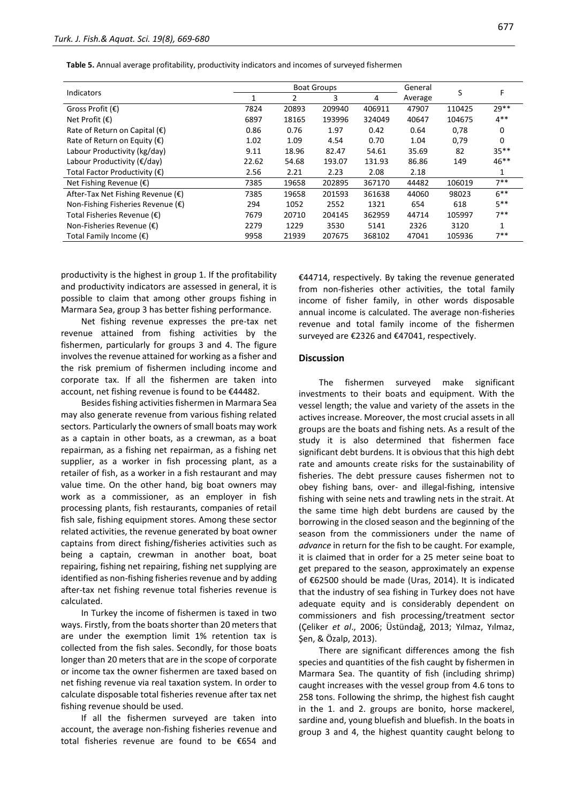**Table 5.** Annual average profitability, productivity indicators and incomes of surveyed fishermen

|                                              |       | <b>Boat Groups</b> | General |        | F       |        |         |
|----------------------------------------------|-------|--------------------|---------|--------|---------|--------|---------|
| <b>Indicators</b>                            |       | $\overline{2}$     | 3       | 4      | Average | S      |         |
| Gross Profit (€)                             | 7824  | 20893              | 209940  | 406911 | 47907   | 110425 | $29**$  |
| Net Profit $(\epsilon)$                      | 6897  | 18165              | 193996  | 324049 | 40647   | 104675 | $4***$  |
| Rate of Return on Capital $(\epsilon)$       | 0.86  | 0.76               | 1.97    | 0.42   | 0.64    | 0,78   | 0       |
| Rate of Return on Equity ( $\epsilon$ )      | 1.02  | 1.09               | 4.54    | 0.70   | 1.04    | 0,79   | 0       |
| Labour Productivity (kg/day)                 | 9.11  | 18.96              | 82.47   | 54.61  | 35.69   | 82     | $35***$ |
| Labour Productivity $(\epsilon / d$ ay)      | 22.62 | 54.68              | 193.07  | 131.93 | 86.86   | 149    | $46***$ |
| Total Factor Productivity $(\epsilon)$       | 2.56  | 2.21               | 2.23    | 2.08   | 2.18    |        |         |
| Net Fishing Revenue $(\epsilon)$             | 7385  | 19658              | 202895  | 367170 | 44482   | 106019 | 7**     |
| After-Tax Net Fishing Revenue ( $\epsilon$ ) | 7385  | 19658              | 201593  | 361638 | 44060   | 98023  | $6***$  |
| Non-Fishing Fisheries Revenue (€)            | 294   | 1052               | 2552    | 1321   | 654     | 618    | $5***$  |
| Total Fisheries Revenue (€)                  | 7679  | 20710              | 204145  | 362959 | 44714   | 105997 | $7**$   |
| Non-Fisheries Revenue $(\epsilon)$           | 2279  | 1229               | 3530    | 5141   | 2326    | 3120   |         |
| Total Family Income $(\epsilon)$             | 9958  | 21939              | 207675  | 368102 | 47041   | 105936 | $7***$  |

productivity is the highest in group 1. If the profitability and productivity indicators are assessed in general, it is possible to claim that among other groups fishing in Marmara Sea, group 3 has better fishing performance.

Net fishing revenue expresses the pre-tax net revenue attained from fishing activities by the fishermen, particularly for groups 3 and 4. The figure involves the revenue attained for working as a fisher and the risk premium of fishermen including income and corporate tax. If all the fishermen are taken into account, net fishing revenue is found to be €44482.

Besides fishing activities fishermen in Marmara Sea may also generate revenue from various fishing related sectors. Particularly the owners of small boats may work as a captain in other boats, as a crewman, as a boat repairman, as a fishing net repairman, as a fishing net supplier, as a worker in fish processing plant, as a retailer of fish, as a worker in a fish restaurant and may value time. On the other hand, big boat owners may work as a commissioner, as an employer in fish processing plants, fish restaurants, companies of retail fish sale, fishing equipment stores. Among these sector related activities, the revenue generated by boat owner captains from direct fishing/fisheries activities such as being a captain, crewman in another boat, boat repairing, fishing net repairing, fishing net supplying are identified as non-fishing fisheries revenue and by adding after-tax net fishing revenue total fisheries revenue is calculated.

In Turkey the income of fishermen is taxed in two ways. Firstly, from the boats shorter than 20 meters that are under the exemption limit 1% retention tax is collected from the fish sales. Secondly, for those boats longer than 20 meters that are in the scope of corporate or income tax the owner fishermen are taxed based on net fishing revenue via real taxation system. In order to calculate disposable total fisheries revenue after tax net fishing revenue should be used.

If all the fishermen surveyed are taken into account, the average non-fishing fisheries revenue and total fisheries revenue are found to be €654 and

€44714, respectively. By taking the revenue generated from non-fisheries other activities, the total family income of fisher family, in other words disposable annual income is calculated. The average non-fisheries revenue and total family income of the fishermen surveyed are €2326 and €47041, respectively.

#### **Discussion**

The fishermen surveyed make significant investments to their boats and equipment. With the vessel length; the value and variety of the assets in the actives increase. Moreover, the most crucial assets in all groups are the boats and fishing nets. As a result of the study it is also determined that fishermen face significant debt burdens. It is obvious that this high debt rate and amounts create risks for the sustainability of fisheries. The debt pressure causes fishermen not to obey fishing bans, over- and illegal-fishing, intensive fishing with seine nets and trawling nets in the strait. At the same time high debt burdens are caused by the borrowing in the closed season and the beginning of the season from the commissioners under the name of *advance* in return for the fish to be caught. For example, it is claimed that in order for a 25 meter seine boat to get prepared to the season, approximately an expense of €62500 should be made (Uras, 2014). It is indicated that the industry of sea fishing in Turkey does not have adequate equity and is considerably dependent on commissioners and fish processing/treatment sector (Çeliker *et al*., 2006; Üstündağ, 2013; Yılmaz, Yılmaz, Şen, & Özalp, 2013).

There are significant differences among the fish species and quantities of the fish caught by fishermen in Marmara Sea. The quantity of fish (including shrimp) caught increases with the vessel group from 4.6 tons to 258 tons. Following the shrimp, the highest fish caught in the 1. and 2. groups are bonito, horse mackerel, sardine and, young bluefish and bluefish. In the boats in group 3 and 4, the highest quantity caught belong to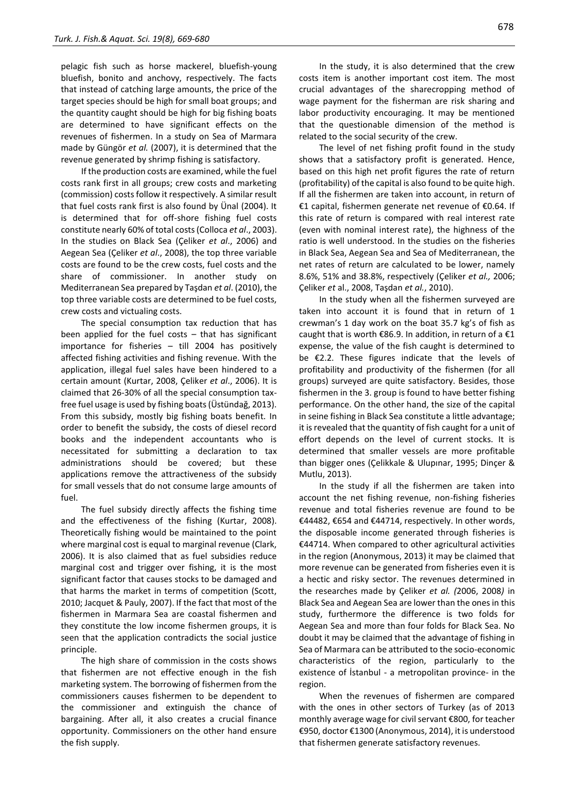pelagic fish such as horse mackerel, bluefish-young bluefish, bonito and anchovy, respectively. The facts that instead of catching large amounts, the price of the target species should be high for small boat groups; and the quantity caught should be high for big fishing boats are determined to have significant effects on the revenues of fishermen. In a study on Sea of Marmara made by Güngör *et al.* (2007), it is determined that the revenue generated by shrimp fishing is satisfactory.

If the production costs are examined, while the fuel costs rank first in all groups; crew costs and marketing (commission) costs follow it respectively. A similar result that fuel costs rank first is also found by Ünal (2004). It is determined that for off-shore fishing fuel costs constitute nearly 60% of total costs (Colloca *et al*., 2003). In the studies on Black Sea (Çeliker *et al*., 2006) and Aegean Sea (Çeliker *et al*., 2008), the top three variable costs are found to be the crew costs, fuel costs and the share of commissioner. In another study on Mediterranean Sea prepared by Taşdan *et al*. (2010), the top three variable costs are determined to be fuel costs, crew costs and victualing costs.

The special consumption tax reduction that has been applied for the fuel costs – that has significant importance for fisheries – till 2004 has positively affected fishing activities and fishing revenue. With the application, illegal fuel sales have been hindered to a certain amount (Kurtar, 2008, Çeliker *et al*., 2006). It is claimed that 26-30% of all the special consumption taxfree fuel usage is used by fishing boats (Üstündağ, 2013). From this subsidy, mostly big fishing boats benefit. In order to benefit the subsidy, the costs of diesel record books and the independent accountants who is necessitated for submitting a declaration to tax administrations should be covered; but these applications remove the attractiveness of the subsidy for small vessels that do not consume large amounts of fuel.

The fuel subsidy directly affects the fishing time and the effectiveness of the fishing (Kurtar, 2008). Theoretically fishing would be maintained to the point where marginal cost is equal to marginal revenue (Clark, 2006). It is also claimed that as fuel subsidies reduce marginal cost and trigger over fishing, it is the most significant factor that causes stocks to be damaged and that harms the market in terms of competition (Scott, 2010; Jacquet & Pauly, 2007). If the fact that most of the fishermen in Marmara Sea are coastal fishermen and they constitute the low income fishermen groups, it is seen that the application contradicts the social justice principle.

The high share of commission in the costs shows that fishermen are not effective enough in the fish marketing system. The borrowing of fishermen from the commissioners causes fishermen to be dependent to the commissioner and extinguish the chance of bargaining. After all, it also creates a crucial finance opportunity. Commissioners on the other hand ensure the fish supply.

In the study, it is also determined that the crew costs item is another important cost item. The most crucial advantages of the sharecropping method of wage payment for the fisherman are risk sharing and labor productivity encouraging. It may be mentioned that the questionable dimension of the method is related to the social security of the crew.

The level of net fishing profit found in the study shows that a satisfactory profit is generated. Hence, based on this high net profit figures the rate of return (profitability) of the capital is also found to be quite high. If all the fishermen are taken into account, in return of €1 capital, fishermen generate net revenue of €0.64. If this rate of return is compared with real interest rate (even with nominal interest rate), the highness of the ratio is well understood. In the studies on the fisheries in Black Sea, Aegean Sea and Sea of Mediterranean, the net rates of return are calculated to be lower, namely 8.6%, 51% and 38.8%, respectively (Çeliker *et al.,* 2006; Çeliker *et* al., 2008, Taşdan *et al.*, 2010).

In the study when all the fishermen surveyed are taken into account it is found that in return of 1 crewman's 1 day work on the boat 35.7 kg's of fish as caught that is worth  $\epsilon$ 86.9. In addition, in return of a  $\epsilon$ 1 expense, the value of the fish caught is determined to be €2.2. These figures indicate that the levels of profitability and productivity of the fishermen (for all groups) surveyed are quite satisfactory. Besides, those fishermen in the 3. group is found to have better fishing performance. On the other hand, the size of the capital in seine fishing in Black Sea constitute a little advantage; it is revealed that the quantity of fish caught for a unit of effort depends on the level of current stocks. It is determined that smaller vessels are more profitable than bigger ones (Çelikkale & Ulupınar, 1995; Dinçer & Mutlu, 2013).

In the study if all the fishermen are taken into account the net fishing revenue, non-fishing fisheries revenue and total fisheries revenue are found to be €44482, €654 and €44714, respectively. In other words, the disposable income generated through fisheries is €44714. When compared to other agricultural activities in the region (Anonymous, 2013) it may be claimed that more revenue can be generated from fisheries even it is a hectic and risky sector. The revenues determined in the researches made by Çeliker *et al. (*2006, 2008*)* in Black Sea and Aegean Sea are lower than the ones in this study, furthermore the difference is two folds for Aegean Sea and more than four folds for Black Sea. No doubt it may be claimed that the advantage of fishing in Sea of Marmara can be attributed to the socio-economic characteristics of the region, particularly to the existence of İstanbul - a metropolitan province- in the region.

When the revenues of fishermen are compared with the ones in other sectors of Turkey (as of 2013 monthly average wage for civil servant €800, for teacher €950, doctor €1300 (Anonymous, 2014), it is understood that fishermen generate satisfactory revenues.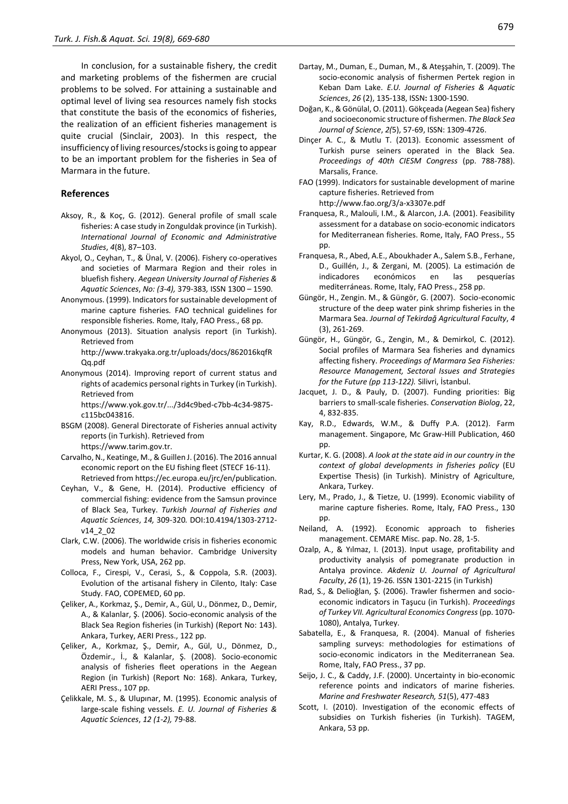In conclusion, for a sustainable fishery, the credit and marketing problems of the fishermen are crucial problems to be solved. For attaining a sustainable and optimal level of living sea resources namely fish stocks that constitute the basis of the economics of fisheries, the realization of an efficient fisheries management is quite crucial (Sinclair, 2003). In this respect, the insufficiency of living resources/stocks is going to appear to be an important problem for the fisheries in Sea of Marmara in the future.

#### **References**

- Aksoy, R., & Koç, G. (2012). General profile of small scale fisheries: A case study in Zonguldak province (in Turkish). *International Journal of Economic and Administrative Studies*, *4*(8), 87–103.
- Akyol, O., Ceyhan, T., & Ünal, V. (2006). Fishery co-operatives and societies of Marmara Region and their roles in bluefish fishery. *Aegean University Journal of Fisheries & Aquatic Sciences*, *No: (3-4),* 379-383*,* ISSN 1300 – 1590.
- Anonymous. (1999). Indicators for sustainable development of marine capture fisheries*.* FAO technical guidelines for responsible fisheries*.* Rome, Italy, FAO Press., 68 pp.

Anonymous (2013). Situation analysis report (in Turkish). Retrieved from

http://www.trakyaka.org.tr/uploads/docs/862016kqfR Qq.pdf

Anonymous (2014). Improving report of current status and rights of academics personal rights in Turkey (in Turkish). Retrieved from

https://www.yok.gov.tr/.../3d4c9bed-c7bb-4c34-9875 c115bc043816.

- BSGM (2008). General Directorate of Fisheries annual activity reports (in Turkish). Retrieved from https://www.tarim.gov.tr.
- Carvalho, N., Keatinge, M., & Guillen J. (2016). The 2016 annual economic report on the EU fishing fleet (STECF 16-11). Retrieved from https://ec.europa.eu/jrc/en/publication.
- Ceyhan, V., & Gene, H. (2014). Productive efficiency of commercial fishing: evidence from the Samsun province of Black Sea, Turkey. *Turkish Journal of Fisheries and Aquatic Sciences*, *14,* 309-320*.* DOI:10.4194/1303-2712 v14\_2\_02
- Clark, C.W. (2006). The worldwide crisis in fisheries economic models and human behavior. Cambridge University Press, New York, USA, 262 pp.
- Colloca, F., Cirespi, V., Cerasi, S., & Coppola, S.R. (2003). Evolution of the artisanal fishery in Cilento, Italy: Case Study. FAO, COPEMED, 60 pp.
- Çeliker, A., Korkmaz, Ş., Demir, A., Gül, U., Dönmez, D., Demir, A., & Kalanlar, Ş. (2006). Socio-economic analysis of the Black Sea Region fisheries (in Turkish) (Report No: 143). Ankara, Turkey, AERI Press., 122 pp.
- Çeliker, A., Korkmaz, Ş., Demir, A., Gül, U., Dönmez, D., Özdemir., İ., & Kalanlar, Ş. (2008). Socio-economic analysis of fisheries fleet operations in the Aegean Region (in Turkish) (Report No: 168). Ankara, Turkey, AERI Press., 107 pp.
- Çelikkale, M. S., & Ulupınar, M. (1995). Economic analysis of large-scale fishing vessels. *E. U. Journal of Fisheries & Aquatic Sciences*, *12 (1-2),* 79-88.
- Dartay, M., Duman, E., Duman, M., & Ateşşahin, T. (2009). The socio-economic analysis of fishermen Pertek region in Keban Dam Lake. *E.U. Journal of Fisheries & Aquatic Sciences*, *26* (2), 135-138, ISSN**:** 1300-1590.
- Doğan, K., & Gönülal, O. (2011). Gökçeada (Aegean Sea) fishery and socioeconomic structure of fishermen. *The Black Sea Journal of Science*, *2(*5), 57-69, ISSN: 1309-4726.
- Dinçer A. C., & Mutlu T. (2013). Economic assessment of Turkish purse seiners operated in the Black Sea. *Proceedings of 40th CIESM Congress* (pp. 788-788). Marsalis, France.
- FAO (1999). Indicators for sustainable development of marine capture fisheries. Retrieved from http://www.fao.org/3/a-x3307e.pdf
- Franquesa, R., Malouli, I.M., & Alarcon, J.A. (2001). Feasibility assessment for a database on socio-economic indicators for Mediterranean fisheries. Rome, Italy, FAO Press., 55 pp.
- Franquesa, R., Abed, A.E., Aboukhader A., Salem S.B., Ferhane, D., Guillén, J., & Zergani, M. (2005). La estimación de indicadores económicos en las pesquerías mediterráneas. Rome, Italy, FAO Press., 258 pp.
- Güngör, H., Zengin. M., & Güngör, G. (2007). Socio-economic structure of the deep water pink shrimp fisheries in the Marmara Sea. *Journal of Tekirdağ Agricultural Faculty*, *4*  (3), 261-269.
- Güngör, H., Güngör, G., Zengin, M., & Demirkol, C. (2012). Social profiles of Marmara Sea fisheries and dynamics affecting fishery. *Proceedings of Marmara Sea Fisheries: Resource Management, Sectoral Issues and Strategies for the Future (pp 113-122).* Silivri, İstanbul.
- Jacquet, J. D., & Pauly, D. (2007). Funding priorities: Big barriers to small-scale fisheries. *Conservation Biolog*, 22, 4, 832-835.
- Kay, R.D., Edwards, W.M., & Duffy P.A. (2012). Farm management. Singapore, Mc Graw-Hill Publication, 460 pp.
- Kurtar, K. G. (2008). *A look at the state aid in our country in the context of global developments in fisheries policy* (EU Expertise Thesis) (in Turkish). Ministry of Agriculture, Ankara, Turkey.
- Lery, M., Prado, J., & Tietze, U. (1999). Economic viability of marine capture fisheries. Rome, Italy, FAO Press., 130 pp.
- Neiland, A. (1992). Economic approach to fisheries management. CEMARE Misc. pap. No. 28, 1-5.
- Ozalp, A., & Yılmaz, I. (2013). Input usage, profitability and productivity analysis of pomegranate production in Antalya province. *Akdeniz U. Journal of Agricultural Faculty*, *26* (1), 19-26. ISSN 1301-2215 (in Turkish)
- Rad, S., & Delioğlan, Ş. (2006). Trawler fishermen and socioeconomic indicators in Taşucu (in Turkish). *Proceedings of Turkey VII. Agricultural Economics Congress* (pp. 1070- 1080), Antalya, Turkey.
- Sabatella, E., & Franquesa, R. (2004). Manual of fisheries sampling surveys: methodologies for estimations of socio-economic indicators in the Mediterranean Sea. Rome, Italy, FAO Press., 37 pp.
- Seijo, J. C., & Caddy, J.F. (2000). Uncertainty in bio-economic reference points and indicators of marine fisheries. *Marine and Freshwater Research, 51*(5), 477-483
- Scott, I. (2010). Investigation of the economic effects of subsidies on Turkish fisheries (in Turkish). TAGEM, Ankara, 53 pp.